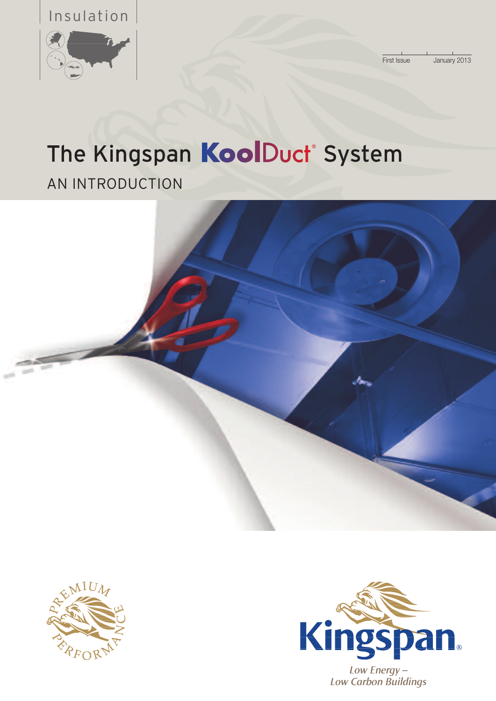Insulation



First Issue January 2013

# The Kingspan KoolDuct<sup>®</sup> System

AN INTRODUCTION





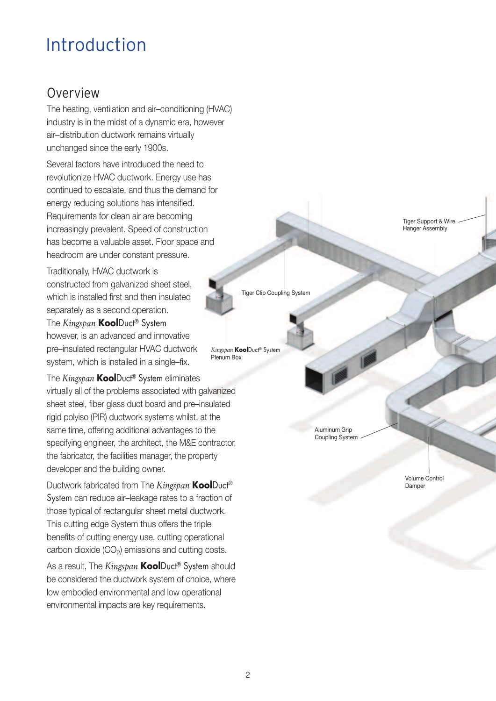## Introduction

#### Overview

The heating, ventilation and air–conditioning (HVAC) industry is in the midst of a dynamic era, however air–distribution ductwork remains virtually unchanged since the early 1900s.

Several factors have introduced the need to revolutionize HVAC ductwork. Energy use has continued to escalate, and thus the demand for energy reducing solutions has intensified. Requirements for clean air are becoming increasingly prevalent. Speed of construction has become a valuable asset. Floor space and headroom are under constant pressure.

Traditionally, HVAC ductwork is constructed from galvanized sheet steel, which is installed first and then insulated separately as a second operation.

The *Kingspan* **KoolDuct ® System** however, is an advanced and innovative pre–insulated rectangular HVAC ductwork

system, which is installed in a single–fix. The *Kingspan* **KoolDuct ® System** eliminates

virtually all of the problems associated with galvanized sheet steel, fiber glass duct board and pre–insulated rigid polyiso (PIR) ductwork systems whilst, at the same time, offering additional advantages to the specifying engineer, the architect, the M&E contractor, the fabricator, the facilities manager, the property developer and the building owner.

Ductwork fabricated from The *Kingspan* **KoolDuct ® System** can reduce air–leakage rates to a fraction of those typical of rectangular sheet metal ductwork. This cutting edge System thus offers the triple benefits of cutting energy use, cutting operational carbon dioxide (CO<sub>2</sub>) emissions and cutting costs.

As a result, The *Kingspan* **KoolDuct ® System** should be considered the ductwork system of choice, where low embodied environmental and low operational environmental impacts are key requirements.

Tiger Clip Coupling System

*Kingspan* **KoolDuct ® System** Plenum Box

> Aluminum Grip Coupling System

**ALLES** 

Volume Control Damper

Tiger Support & Wire Hanger Assembly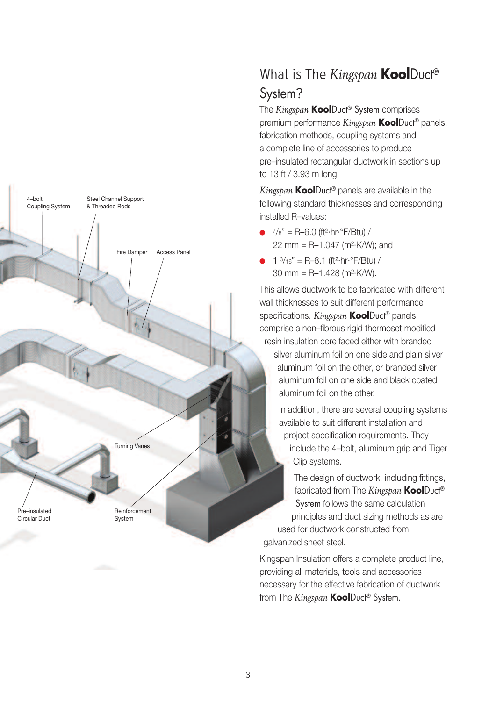

## What is The *Kingspan* **KoolDuct ® System**?

The *Kingspan* **KoolDuct ® System** comprises premium performance *Kingspan* **KoolDuct ®** panels, fabrication methods, coupling systems and a complete line of accessories to produce pre–insulated rectangular ductwork in sections up to 13 ft / 3.93 m long.

*Kingspan* **KoolDuct ®** panels are available in the following standard thicknesses and corresponding installed R–values:

- $\bullet$   $^{7}/8" = R 6.0$  (ft<sup>2</sup>·hr·°F/Rtu) / 22 mm = R–1.047 (m²·K/W); and
- $\bullet$  1  $\frac{3}{16}$ " = R-8.1 (ft<sup>2</sup>·hr·°F/Btu) /  $30 \text{ mm} = \text{R} - 1.428 \text{ (m}^2 \cdot \text{K/W}).$

This allows ductwork to be fabricated with different wall thicknesses to suit different performance specifications. *Kingspan* **KoolDuct ®** panels comprise a non–fibrous rigid thermoset modified resin insulation core faced either with branded silver aluminum foil on one side and plain silver aluminum foil on the other, or branded silver aluminum foil on one side and black coated aluminum foil on the other.

> In addition, there are several coupling systems available to suit different installation and project specification requirements. They include the 4–bolt, aluminum grip and Tiger Clip systems.

The design of ductwork, including fittings, fabricated from The *Kingspan* **KoolDuct ® System** follows the same calculation principles and duct sizing methods as are used for ductwork constructed from galvanized sheet steel.

Kingspan Insulation offers a complete product line, providing all materials, tools and accessories necessary for the effective fabrication of ductwork from The *Kingspan* **KoolDuct ® System**.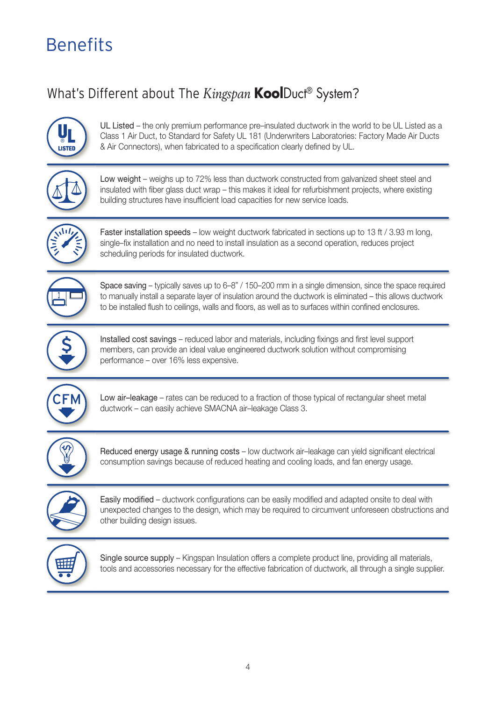## **Benefits**

## What's Different about The *Kingspan* **KoolDuct ® System**?



UL Listed – the only premium performance pre–insulated ductwork in the world to be UL Listed as a Class 1 Air Duct, to Standard for Safety UL 181 (Underwriters Laboratories: Factory Made Air Ducts & Air Connectors), when fabricated to a specification clearly defined by UL.



Low weight – weighs up to 72% less than ductwork constructed from galvanized sheet steel and insulated with fiber glass duct wrap – this makes it ideal for refurbishment projects, where existing building structures have insufficient load capacities for new service loads.



Faster installation speeds – low weight ductwork fabricated in sections up to 13 ft / 3.93 m long, single–fix installation and no need to install insulation as a second operation, reduces project scheduling periods for insulated ductwork.



Space saving – typically saves up to 6–8" / 150–200 mm in a single dimension, since the space required to manually install a separate layer of insulation around the ductwork is eliminated – this allows ductwork to be installed flush to ceilings, walls and floors, as well as to surfaces within confined enclosures.



Installed cost savings – reduced labor and materials, including fixings and first level support members, can provide an ideal value engineered ductwork solution without compromising performance – over 16% less expensive.



Low air–leakage – rates can be reduced to a fraction of those typical of rectangular sheet metal ductwork – can easily achieve SMACNA air–leakage Class 3.



Reduced energy usage & running costs – low ductwork air–leakage can yield significant electrical consumption savings because of reduced heating and cooling loads, and fan energy usage.



Easily modified – ductwork configurations can be easily modified and adapted onsite to deal with unexpected changes to the design, which may be required to circumvent unforeseen obstructions and other building design issues.



Single source supply – Kingspan Insulation offers a complete product line, providing all materials, tools and accessories necessary for the effective fabrication of ductwork, all through a single supplier.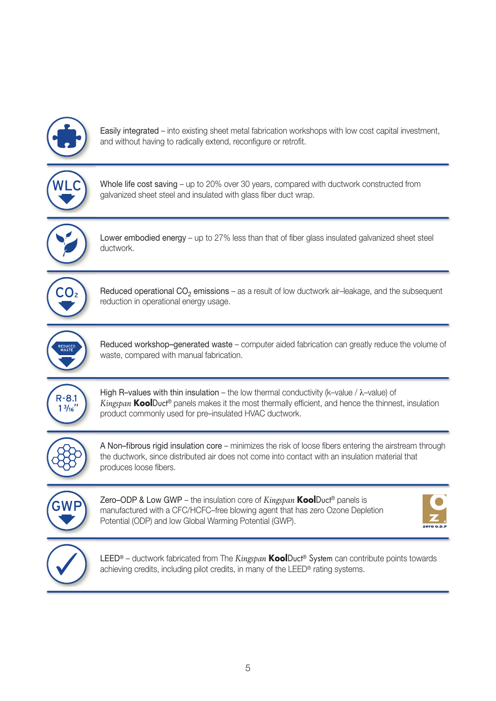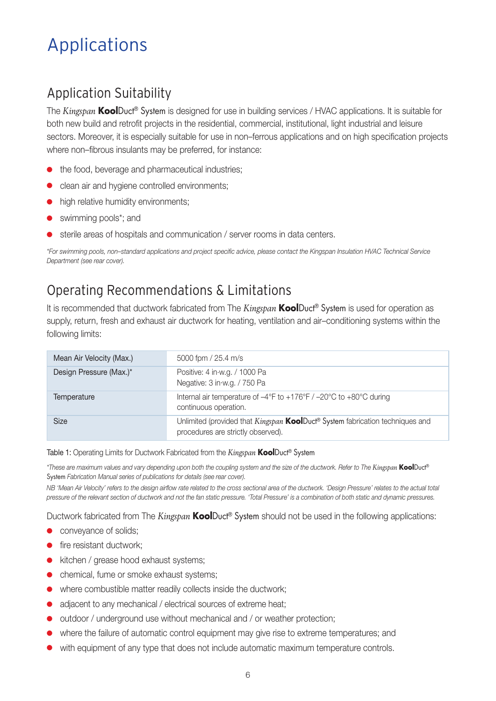# Applications

### Application Suitability

The *Kingspan* **KoolDuct ® System** is designed for use in building services / HVAC applications. It is suitable for both new build and retrofit projects in the residential, commercial, institutional, light industrial and leisure sectors. Moreover, it is especially suitable for use in non–ferrous applications and on high specification projects where non–fibrous insulants may be preferred, for instance:

- the food, beverage and pharmaceutical industries:
- clean air and hygiene controlled environments;
- high relative humidity environments;
- swimming pools\*; and
- sterile areas of hospitals and communication / server rooms in data centers.

\*For swimming pools, non-standard applications and project specific advice, please contact the Kingspan Insulation HVAC Technical Service *Department (see rear cover).*

#### Operating Recommendations & Limitations

It is recommended that ductwork fabricated from The *Kingspan* **KoolDuct ® System** is used for operation as supply, return, fresh and exhaust air ductwork for heating, ventilation and air–conditioning systems within the following limits:

| Mean Air Velocity (Max.) | 5000 fpm / 25.4 m/s                                                                                                                 |
|--------------------------|-------------------------------------------------------------------------------------------------------------------------------------|
| Design Pressure (Max.)*  | Positive: 4 in w.g. / 1000 Pa<br>Negative: 3 in w.g. / 750 Pa                                                                       |
| Temperature              | Internal air temperature of $-4^{\circ}$ F to $+176^{\circ}$ F / $-20^{\circ}$ C to $+80^{\circ}$ C during<br>continuous operation. |
| <b>Size</b>              | Unlimited (provided that Kingspan KoolDuct® System fabrication techniques and<br>procedures are strictly observed).                 |

Table 1: Operating Limits for Ductwork Fabricated from the *Kingspan* **KoolDuct ® System**

\*These are maximum values and vary depending upon both the coupling system and the size of the ductwork. Refer to The Kingspan KoolDuct® **System** *Fabrication Manual series of publications for details (see rear cover).*

NB 'Mean Air Velocity' refers to the design airflow rate related to the cross sectional area of the ductwork. 'Design Pressure' relates to the actual total pressure of the relevant section of ductwork and not the fan static pressure. 'Total Pressure' is a combination of both static and dynamic pressures.

Ductwork fabricated from The *Kingspan* **KoolDuct ® System** should not be used in the following applications:

- conveyance of solids;
- fire resistant ductwork:
- kitchen / grease hood exhaust systems;
- chemical, fume or smoke exhaust systems:
- where combustible matter readily collects inside the ductwork;
- adjacent to any mechanical / electrical sources of extreme heat;
- outdoor / underground use without mechanical and / or weather protection;
- where the failure of automatic control equipment may give rise to extreme temperatures; and
- with equipment of any type that does not include automatic maximum temperature controls.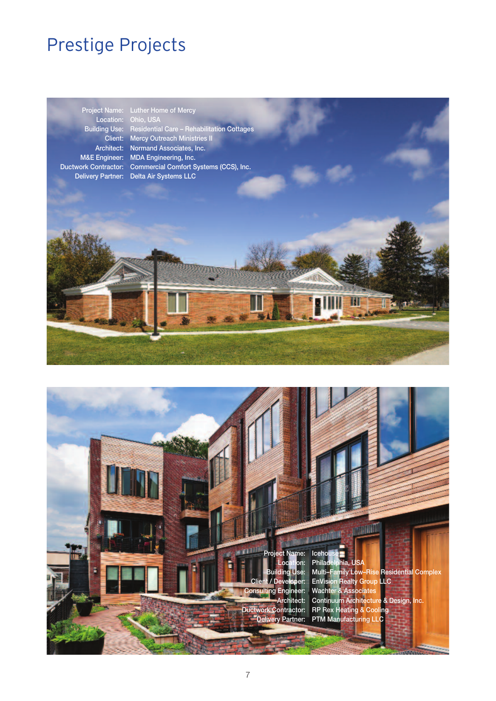## Prestige Projects

# Project Name: Luther Home of Mercy Location: Ohio, USA Building Use: Residential Care – Rehabilitation Cottages Client: Mercy Outreach Ministries II Architect: Normand Associates, Inc. M&E Engineer: MDA Engineering, Inc. Ductwork Contractor: Commercial Comfort Systems (CCS), Inc. Delivery Partner: Delta Air Systems LLC